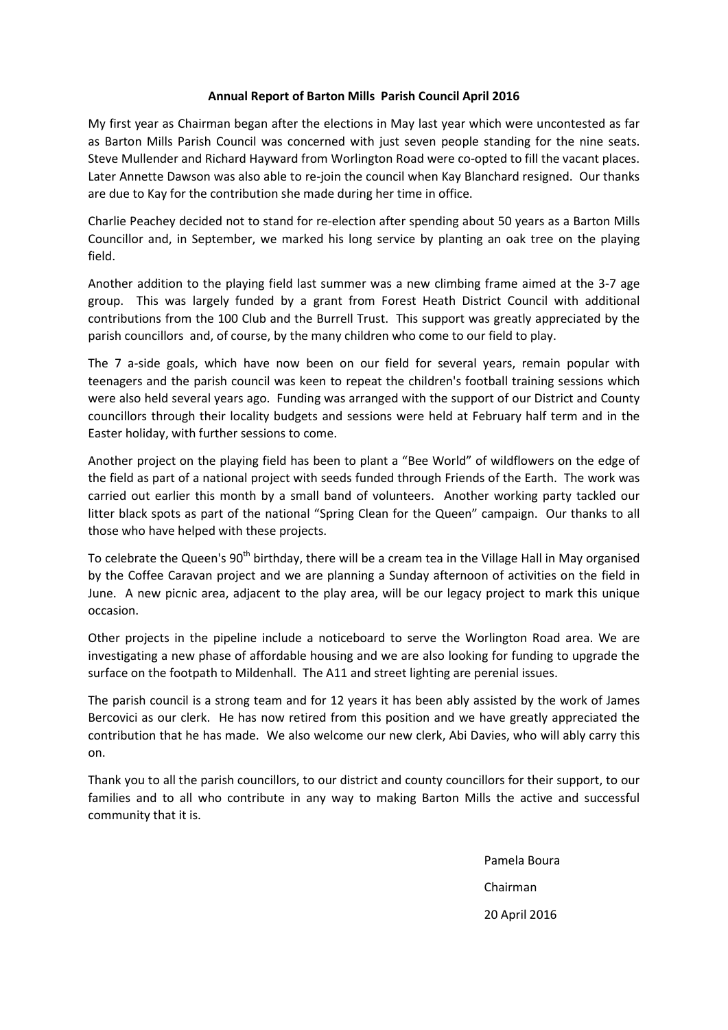## Annual Report of Barton Mills Parish Council April 2016

My first year as Chairman began after the elections in May last year which were uncontested as far as Barton Mills Parish Council was concerned with just seven people standing for the nine seats. Steve Mullender and Richard Hayward from Worlington Road were co-opted to fill the vacant places. Later Annette Dawson was also able to re-join the council when Kay Blanchard resigned. Our thanks are due to Kay for the contribution she made during her time in office.

Charlie Peachey decided not to stand for re-election after spending about 50 years as a Barton Mills Councillor and, in September, we marked his long service by planting an oak tree on the playing field.

Another addition to the playing field last summer was a new climbing frame aimed at the 3-7 age group. This was largely funded by a grant from Forest Heath District Council with additional contributions from the 100 Club and the Burrell Trust. This support was greatly appreciated by the parish councillors and, of course, by the many children who come to our field to play.

The 7 a-side goals, which have now been on our field for several years, remain popular with teenagers and the parish council was keen to repeat the children's football training sessions which were also held several years ago. Funding was arranged with the support of our District and County councillors through their locality budgets and sessions were held at February half term and in the Easter holiday, with further sessions to come.

Another project on the playing field has been to plant a "Bee World" of wildflowers on the edge of the field as part of a national project with seeds funded through Friends of the Earth. The work was carried out earlier this month by a small band of volunteers. Another working party tackled our litter black spots as part of the national "Spring Clean for the Queen" campaign. Our thanks to all those who have helped with these projects.

To celebrate the Queen's 90<sup>th</sup> birthday, there will be a cream tea in the Village Hall in May organised by the Coffee Caravan project and we are planning a Sunday afternoon of activities on the field in June. A new picnic area, adjacent to the play area, will be our legacy project to mark this unique occasion.

Other projects in the pipeline include a noticeboard to serve the Worlington Road area. We are investigating a new phase of affordable housing and we are also looking for funding to upgrade the surface on the footpath to Mildenhall. The A11 and street lighting are perenial issues.

The parish council is a strong team and for 12 years it has been ably assisted by the work of James Bercovici as our clerk. He has now retired from this position and we have greatly appreciated the contribution that he has made. We also welcome our new clerk, Abi Davies, who will ably carry this on.

Thank you to all the parish councillors, to our district and county councillors for their support, to our families and to all who contribute in any way to making Barton Mills the active and successful community that it is.

 Pamela Boura Chairman 20 April 2016